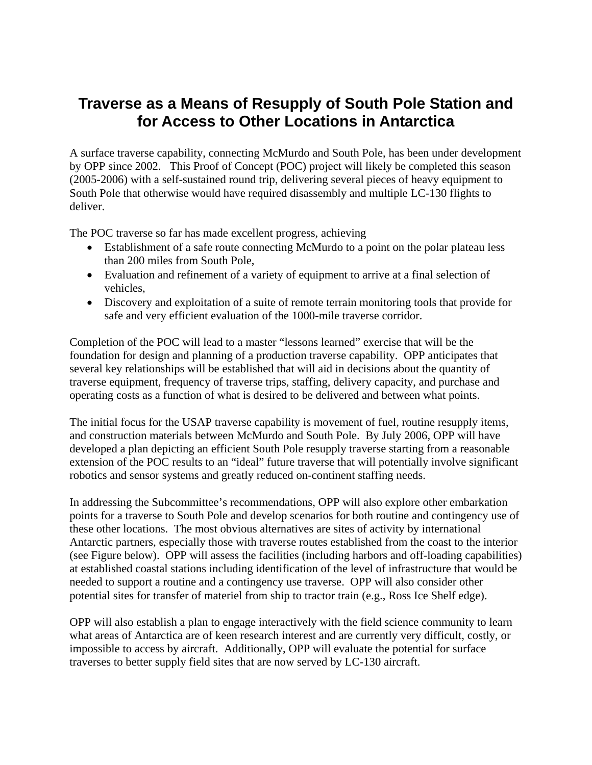## **Traverse as a Means of Resupply of South Pole Station and for Access to Other Locations in Antarctica**

A surface traverse capability, connecting McMurdo and South Pole, has been under development by OPP since 2002. This Proof of Concept (POC) project will likely be completed this season (2005-2006) with a self-sustained round trip, delivering several pieces of heavy equipment to South Pole that otherwise would have required disassembly and multiple LC-130 flights to deliver.

The POC traverse so far has made excellent progress, achieving

- Establishment of a safe route connecting McMurdo to a point on the polar plateau less than 200 miles from South Pole,
- Evaluation and refinement of a variety of equipment to arrive at a final selection of vehicles,
- Discovery and exploitation of a suite of remote terrain monitoring tools that provide for safe and very efficient evaluation of the 1000-mile traverse corridor.

Completion of the POC will lead to a master "lessons learned" exercise that will be the foundation for design and planning of a production traverse capability. OPP anticipates that several key relationships will be established that will aid in decisions about the quantity of traverse equipment, frequency of traverse trips, staffing, delivery capacity, and purchase and operating costs as a function of what is desired to be delivered and between what points.

The initial focus for the USAP traverse capability is movement of fuel, routine resupply items, and construction materials between McMurdo and South Pole. By July 2006, OPP will have developed a plan depicting an efficient South Pole resupply traverse starting from a reasonable extension of the POC results to an "ideal" future traverse that will potentially involve significant robotics and sensor systems and greatly reduced on-continent staffing needs.

In addressing the Subcommittee's recommendations, OPP will also explore other embarkation points for a traverse to South Pole and develop scenarios for both routine and contingency use of these other locations. The most obvious alternatives are sites of activity by international Antarctic partners, especially those with traverse routes established from the coast to the interior (see Figure below). OPP will assess the facilities (including harbors and off-loading capabilities) at established coastal stations including identification of the level of infrastructure that would be needed to support a routine and a contingency use traverse. OPP will also consider other potential sites for transfer of materiel from ship to tractor train (e.g., Ross Ice Shelf edge).

OPP will also establish a plan to engage interactively with the field science community to learn what areas of Antarctica are of keen research interest and are currently very difficult, costly, or impossible to access by aircraft. Additionally, OPP will evaluate the potential for surface traverses to better supply field sites that are now served by LC-130 aircraft.